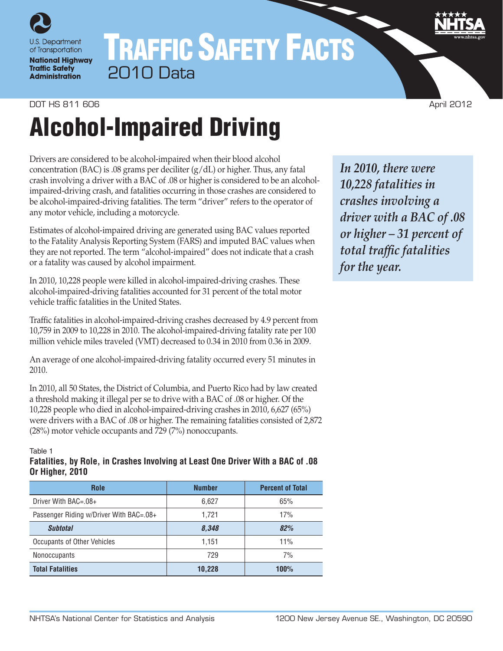

# TRAFFIC SAFETY FACTS 2010 Data

## **DOT HS 811 606 April 2012**

# Alcohol-Impaired Driving

Drivers are considered to be alcohol-impaired when their blood alcohol concentration (BAC) is .08 grams per deciliter (g/dL) or higher. Thus, any fatal crash involving a driver with a BAC of .08 or higher is considered to be an alcoholimpaired-driving crash, and fatalities occurring in those crashes are considered to be alcohol-impaired-driving fatalities. The term "driver" refers to the operator of any motor vehicle, including a motorcycle.

Estimates of alcohol-impaired driving are generated using BAC values reported to the Fatality Analysis Reporting System (FARS) and imputed BAC values when they are not reported. The term "alcohol-impaired" does not indicate that a crash or a fatality was caused by alcohol impairment.

In 2010, 10,228 people were killed in alcohol-impaired-driving crashes. These alcohol-impaired-driving fatalities accounted for 31 percent of the total motor vehicle traffic fatalities in the United States.

Traffic fatalities in alcohol-impaired-driving crashes decreased by 4.9 percent from 10,759 in 2009 to 10,228 in 2010. The alcohol-impaired-driving fatality rate per 100 million vehicle miles traveled (VMT) decreased to 0.34 in 2010 from 0.36 in 2009.

An average of one alcohol-impaired-driving fatality occurred every 51 minutes in 2010.

In 2010, all 50 States, the District of Columbia, and Puerto Rico had by law created a threshold making it illegal per se to drive with a BAC of .08 or higher. Of the 10,228 people who died in alcohol-impaired-driving crashes in 2010, 6,627 (65%) were drivers with a BAC of .08 or higher. The remaining fatalities consisted of 2,872 (28%) motor vehicle occupants and 729 (7%) nonoccupants.

#### Table 1

### **Fatalities, by Role, in Crashes Involving at Least One Driver With a BAC of .08 Or Higher, 2010**

| <b>Role</b>                             | <b>Number</b> | <b>Percent of Total</b> |  |  |
|-----------------------------------------|---------------|-------------------------|--|--|
| Driver With BAC=.08+                    | 6,627         | 65%                     |  |  |
| Passenger Riding w/Driver With BAC=.08+ | 1.721         | 17%                     |  |  |
| <b>Subtotal</b>                         | 8,348         | 82%                     |  |  |
| Occupants of Other Vehicles             | 1.151         | 11%                     |  |  |
| Nonoccupants                            | 729           | 7%                      |  |  |
| <b>Total Fatalities</b>                 | 10,228        | 100%                    |  |  |

*In 2010, there were 10,228 fatalities in crashes involving a driver with a BAC of .08 or higher – 31 percent of total traffic fatalities for the year.*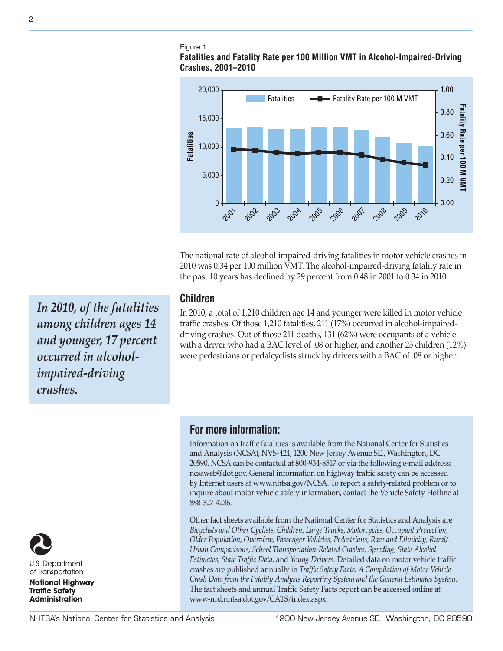# Figure 1

## **Fatalities and Fatality Rate per 100 Million VMT in Alcohol-Impaired-Driving Crashes, 2001–2010**



The national rate of alcohol-impaired-driving fatalities in motor vehicle crashes in 2010 was 0.34 per 100 million VMT. The alcohol-impaired-driving fatality rate in the past 10 years has declined by 29 percent from 0.48 in 2001 to 0.34 in 2010.

# **Children**

In 2010, a total of 1,210 children age 14 and younger were killed in motor vehicle traffic crashes. Of those 1,210 fatalities, 211 (17%) occurred in alcohol-impaireddriving crashes. Out of those 211 deaths, 131 (62%) were occupants of a vehicle with a driver who had a BAC level of .08 or higher, and another 25 children (12%) were pedestrians or pedalcyclists struck by drivers with a BAC of .08 or higher.

**For more information:**

Information on traffic fatalities is available from the National Center for Statistics and Analysis (NCSA), NVS-424, 1200 New Jersey Avenue SE., Washington, DC 20590. NCSA can be contacted at 800-934-8517 or via the following e-mail address: [ncsaweb@dot.gov](mailto:ncsaweb%40dot.gov?subject=). General information on highway traffic safety can be accessed by Internet users at<www.nhtsa.gov/NCSA>. To report a safety-related problem or to inquire about motor vehicle safety information, contact the Vehicle Safety Hotline at 888-327-4236.

Other fact sheets available from the National Center for Statistics and Analysis are *Bicyclists and Other Cyclists, Children, Large Trucks, Motorcycles, Occupant Protection, Older Population, Overview, Passenger Vehicles, Pedestrians, Race and Ethnicity, Rural/ Urban Comparisons, School Transportation-Related Crashes, Speeding, State Alcohol Estimates, State Traffic Data,* and *Young Drivers.* Detailed data on motor vehicle traffic crashes are published annually in *Traffic Safety Facts: A Compilation of Motor Vehicle Crash Data from the Fatality Analysis Reporting System and the General Estimates System.* The fact sheets and annual Traffic Safety Facts report can be accessed online at [www-nrd.nhtsa.dot.gov/CATS/index.aspx.](http://www-nrd.nhtsa.dot.gov/CATS/index.aspx)

*In 2010, of the fatalities among children ages 14 and younger, 17 percent occurred in alcoholimpaired-driving crashes.*



**U.S. Department** of Transportation

**National Highway Traffic Safety Administration**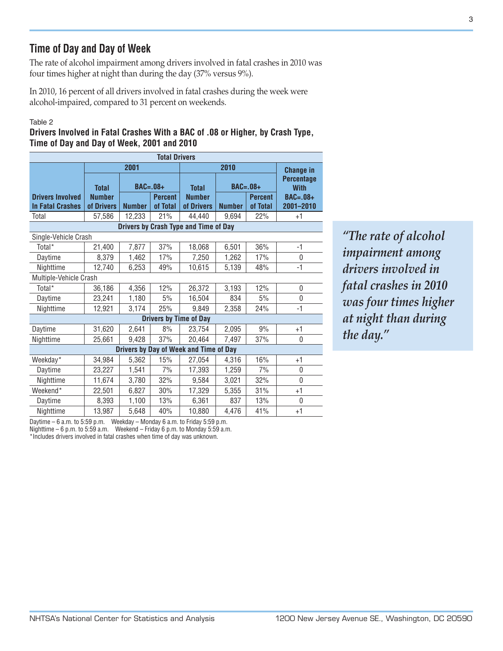# **Time of Day and Day of Week**

The rate of alcohol impairment among drivers involved in fatal crashes in 2010 was four times higher at night than during the day (37% versus 9%).

In 2010, 16 percent of all drivers involved in fatal crashes during the week were alcohol-impaired, compared to 31 percent on weekends.

### Table 2

**Drivers Involved in Fatal Crashes With a BAC of .08 or Higher, by Crash Type, Time of Day and Day of Week, 2001 and 2010**

| <b>Total Drivers</b>                               |                             |               |                            |                                       |                  |                            |                                  |  |  |
|----------------------------------------------------|-----------------------------|---------------|----------------------------|---------------------------------------|------------------|----------------------------|----------------------------------|--|--|
|                                                    |                             | 2001          |                            |                                       | <b>Change in</b> |                            |                                  |  |  |
|                                                    | <b>Total</b>                | $BAC=.08+$    |                            | <b>Total</b>                          |                  | $BAC=.08+$                 | <b>Percentage</b><br><b>With</b> |  |  |
| <b>Drivers Involved</b><br><b>In Fatal Crashes</b> | <b>Number</b><br>of Drivers | <b>Number</b> | <b>Percent</b><br>of Total | <b>Number</b><br>of Drivers           | <b>Number</b>    | <b>Percent</b><br>of Total | <b>BAC=.08+</b><br>2001-2010     |  |  |
| Total                                              | 57,586                      | 12,233        | 21%                        | 44,440                                | 9,694            | 22%                        | +1                               |  |  |
|                                                    |                             |               |                            | Drivers by Crash Type and Time of Day |                  |                            |                                  |  |  |
| Single-Vehicle Crash                               |                             |               |                            |                                       |                  |                            |                                  |  |  |
| Total*                                             | 21,400                      | 7,877         | 37%                        | 18,068                                | 6,501            | 36%                        | $-1$                             |  |  |
| Daytime                                            | 8,379                       | 1,462         | 17%                        | 7,250                                 | 1,262            | 17%                        | 0                                |  |  |
| Nighttime                                          | 12,740                      | 6,253         | 49%                        | 10,615                                | 5,139            | 48%                        | $-1$                             |  |  |
| Multiple-Vehicle Crash                             |                             |               |                            |                                       |                  |                            |                                  |  |  |
| Total*                                             | 36,186                      | 4,356         | 12%                        | 26,372                                | 3,193            | 12%                        | 0                                |  |  |
| Daytime                                            | 23,241                      | 1,180         | 5%                         | 16,504                                | 834              | 5%                         | $\mathbf{0}$                     |  |  |
| Nighttime                                          | 12,921                      | 3,174         | 25%                        | 9.849                                 | 2,358            | 24%                        | $-1$                             |  |  |
|                                                    |                             |               |                            | <b>Drivers by Time of Day</b>         |                  |                            |                                  |  |  |
| Daytime                                            | 31,620                      | 2,641         | 8%                         | 23,754                                | 2,095            | 9%                         | $+1$                             |  |  |
| Nighttime                                          | 25,661                      | 9,428         | 37%                        | 20,464                                | 7,497            | 37%                        | 0                                |  |  |
| Drivers by Day of Week and Time of Day             |                             |               |                            |                                       |                  |                            |                                  |  |  |
| Weekday*                                           | 34,984                      | 5,362         | 15%                        | 27.054                                | 4,316            | 16%                        | $+1$                             |  |  |
| Daytime                                            | 23,227                      | 1,541         | 7%                         | 17,393                                | 1,259            | 7%                         | 0                                |  |  |
| Nighttime                                          | 11,674                      | 3,780         | 32%                        | 9,584                                 | 3,021            | 32%                        | $\overline{0}$                   |  |  |
| Weekend*                                           | 22,501                      | 6,827         | 30%                        | 17,329                                | 5,355            | 31%                        | $+1$                             |  |  |
| Daytime                                            | 8,393                       | 1,100         | 13%                        | 6,361                                 | 837              | 13%                        | 0                                |  |  |
| Nighttime                                          | 13,987                      | 5,648         | 40%                        | 10,880                                | 4.476            | 41%                        | $+1$                             |  |  |

*"The rate of alcohol impairment among drivers involved in fatal crashes in 2010 was four times higher at night than during the day."*

Daytime – 6 a.m. to 5:59 p.m. Weekday – Monday 6 a.m. to Friday 5:59 p.m.

Nighttime – 6 p.m. to 5:59 a.m. Weekend – Friday 6 p.m. to Monday 5:59 a.m.

\*Includes drivers involved in fatal crashes when time of day was unknown.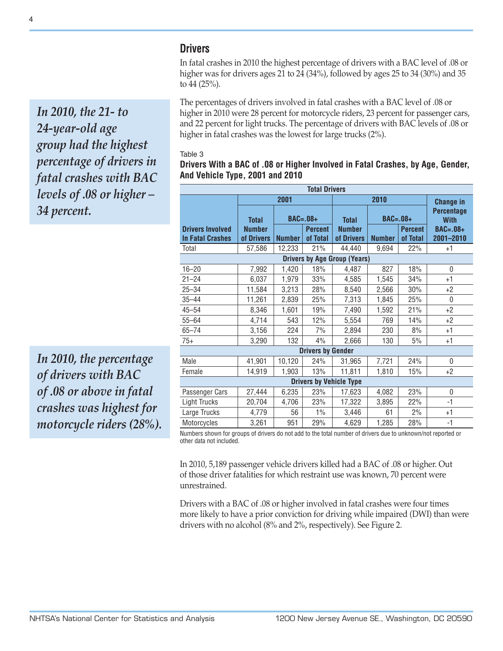## **Drivers**

In fatal crashes in 2010 the highest percentage of drivers with a BAC level of .08 or higher was for drivers ages 21 to 24 (34%), followed by ages 25 to 34 (30%) and 35 to 44 (25%).

The percentages of drivers involved in fatal crashes with a BAC level of .08 or higher in 2010 were 28 percent for motorcycle riders, 23 percent for passenger cars, and 22 percent for light trucks. The percentage of drivers with BAC levels of .08 or higher in fatal crashes was the lowest for large trucks (2%).

#### Table 3

## **Drivers With a BAC of .08 or Higher Involved in Fatal Crashes, by Age, Gender, And Vehicle Type, 2001 and 2010**

| <b>Total Drivers</b>                                                                                         |                               |                              |          |                               |                  |                |                                                |  |  |
|--------------------------------------------------------------------------------------------------------------|-------------------------------|------------------------------|----------|-------------------------------|------------------|----------------|------------------------------------------------|--|--|
|                                                                                                              |                               | 2001                         |          |                               | <b>Change in</b> |                |                                                |  |  |
| <b>Drivers Involved</b>                                                                                      | <b>Total</b><br><b>Number</b> | $BAC=.08+$<br><b>Percent</b> |          | <b>Total</b><br><b>Number</b> | $BAC=.08+$       | <b>Percent</b> | <b>Percentage</b><br><b>With</b><br>$BAC=.08+$ |  |  |
| <b>In Fatal Crashes</b>                                                                                      | of Drivers                    | <b>Number</b>                | of Total | of Drivers                    | <b>Number</b>    | of Total       | 2001-2010                                      |  |  |
| Total                                                                                                        | 57,586                        | 12,233                       | 21%      | 44,440                        | 9,694            | 22%            | $+1$                                           |  |  |
| <b>Drivers by Age Group (Years)</b>                                                                          |                               |                              |          |                               |                  |                |                                                |  |  |
| $16 - 20$                                                                                                    | 7,992                         | 1,420                        | 18%      | 4,487                         | 827              | 18%            | 0                                              |  |  |
| $21 - 24$                                                                                                    | 6,037                         | 1,979                        | 33%      | 4,585                         | 1,545            | 34%            | $+1$                                           |  |  |
| $25 - 34$                                                                                                    | 11,584                        | 3,213                        | 28%      | 8,540                         | 2,566            | 30%            | $+2$                                           |  |  |
| $35 - 44$                                                                                                    | 11,261                        | 2,839                        | 25%      | 7,313                         | 1,845            | 25%            | 0                                              |  |  |
| $45 - 54$                                                                                                    | 8,346                         | 1,601                        | 19%      | 7,490                         | 1,592            | 21%            | $+2$                                           |  |  |
| $55 - 64$                                                                                                    | 4,714                         | 543                          | 12%      | 5,554                         | 769              | 14%            | $+2$                                           |  |  |
| $65 - 74$                                                                                                    | 3,156                         | 224                          | 7%       | 2,894                         | 230              | 8%             | $+1$                                           |  |  |
| $75+$                                                                                                        | 3,290                         | 132                          | 4%       | 2,666                         | 130              | 5%             | $+1$                                           |  |  |
| <b>Drivers by Gender</b>                                                                                     |                               |                              |          |                               |                  |                |                                                |  |  |
| Male                                                                                                         | 41,901                        | 10,120                       | 24%      | 31,965                        | 7,721            | 24%            | $\mathbf{0}$                                   |  |  |
| Female                                                                                                       | 14,919                        | 1,903                        | 13%      | 11,811                        | 1,810            | 15%            | $+2$                                           |  |  |
| <b>Drivers by Vehicle Type</b>                                                                               |                               |                              |          |                               |                  |                |                                                |  |  |
| Passenger Cars                                                                                               | 27,444                        | 6,235                        | 23%      | 17,623                        | 4,082            | 23%            | $\mathbf{0}$                                   |  |  |
| <b>Light Trucks</b>                                                                                          | 20,704                        | 4,706                        | 23%      | 17,322                        | 3,895            | 22%            | -1                                             |  |  |
| Large Trucks                                                                                                 | 4,779                         | 56                           | $1\%$    | 3,446                         | 61               | 2%             | +1                                             |  |  |
| Motorcycles                                                                                                  | 3,261                         | 951                          | 29%      | 4,629                         | 1,285            | 28%            | $-1$                                           |  |  |
| Numbers shown for arouns of drivers do not add to the total number of drivers due to unknown/not reported or |                               |                              |          |                               |                  |                |                                                |  |  |

Numbers shown for groups of drivers do not add to the total number of drivers due to unknown/not reported or other data not included.

In 2010, 5,189 passenger vehicle drivers killed had a BAC of .08 or higher. Out of those driver fatalities for which restraint use was known, 70 percent were unrestrained.

Drivers with a BAC of .08 or higher involved in fatal crashes were four times more likely to have a prior conviction for driving while impaired (DWI) than were drivers with no alcohol (8% and 2%, respectively). See Figure 2.

*In 2010, the 21- to 24-year-old age group had the highest percentage of drivers in fatal crashes with BAC levels of .08 or higher – 34 percent.*

*In 2010, the percentage of drivers with BAC of .08 or above in fatal crashes was highest for motorcycle riders (28%).*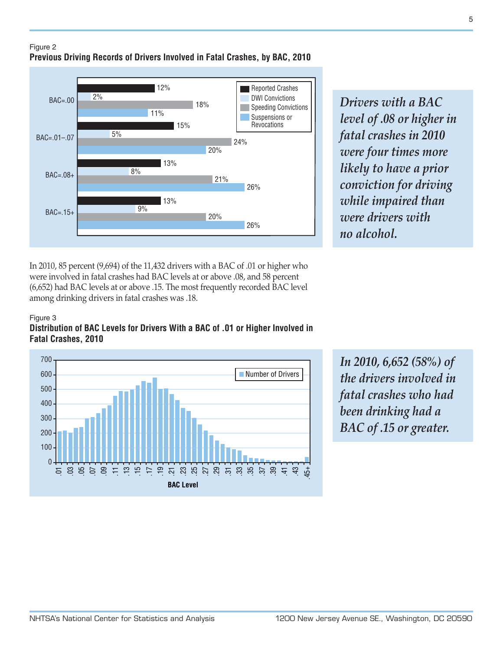

*Drivers with a BAC level of .08 or higher in fatal crashes in 2010 were four times more likely to have a prior conviction for driving while impaired than were drivers with no alcohol.*

In 2010, 85 percent (9,694) of the 11,432 drivers with a BAC of .01 or higher who were involved in fatal crashes had BAC levels at or above .08, and 58 percent (6,652) had BAC levels at or above .15. The most frequently recorded BAC level among drinking drivers in fatal crashes was .18.

### Figure 3 **Distribution of BAC Levels for Drivers With a BAC of .01 or Higher Involved in Fatal Crashes, 2010**



*In 2010, 6,652 (58%) of the drivers involved in fatal crashes who had been drinking had a BAC of .15 or greater.*